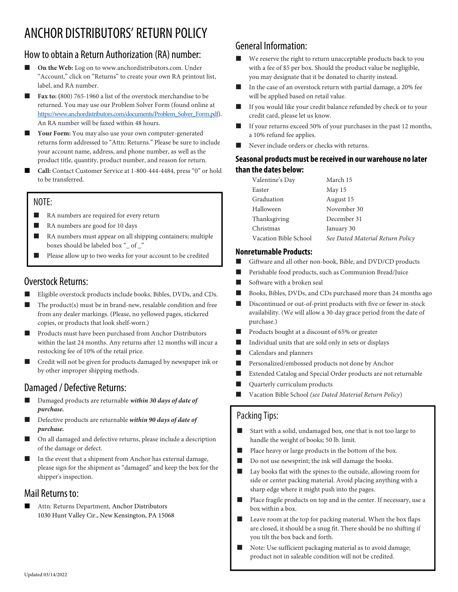# ANCHOR DISTRIBUTORS' RETURN POLICY

## How to obtain a Return Authorization (RA) number:

- On the Web: Log on to www.anchordistributors.com. Under "Account," click on "Returns" to create your own RA printout list, label, and RA number.
- Fax to: (800) 765-1960 a list of the overstock merchandise to be returned. You may use our Problem Solver Form (found online at https://www.anchordistributors.com/documents/Problem\_Solver\_Form.pdf). An RA number will be faxed within 48 hours.
- Your Form: You may also use your own computer-generated returns form addressed to "Attn: Returns." Please be sure to include your account name, address, and phone number, as well as the product title, quantity, product number, and reason for return.
- Call: Contact Customer Service at 1-800-444-4484, press "0" or hold to be transferred.

### NOTE:

- RA numbers are required for every return
- RA numbers are good for 10 days
- RA numbers must appear on all shipping containers; multiple boxes should be labeled box "\_ of \_"
- **Please allow up to two weeks for your account to be credited**

## Overstock Returns:

- Eligible overstock products include books, Bibles, DVDs, and CDs.
- The product(s) must be in brand-new, resalable condition and free from any dealer markings. (Please, no yellowed pages, stickered copies, or products that look shelf-worn.)
- Products must have been purchased from Anchor Distributors within the last 24 months. Any returns after 12 months will incur a restocking fee of 10% of the retail price.
- Credit will not be given for products damaged by newspaper ink or by other improper shipping methods.

# Damaged / Defective Returns:

- Damaged products are returnable within 30 days of date of purchase.
- Defective products are returnable within 90 days of date of purchase.
- On all damaged and defective returns, please include a description of the damage or defect.
- In the event that a shipment from Anchor has external damage, please sign for the shipment as "damaged" and keep the box for the shipper's inspection.

### Mail Returns to:

 Attn: Returns Department, Anchor Distributors 1030 Hunt Valley Cir., New Kensington, PA 15068

# General Information:

- We reserve the right to return unacceptable products back to you with a fee of \$5 per box. Should the product value be negligible, you may designate that it be donated to charity instead.
- In the case of an overstock return with partial damage, a 20% fee will be applied based on retail value.
- If you would like your credit balance refunded by check or to your credit card, please let us know.
- If your returns exceed 50% of your purchases in the past 12 months, a 10% refund fee applies.
- Never include orders or checks with returns.

#### Seasonal products must be received in our warehouse no later than the dates below:

| March 15                         |
|----------------------------------|
| May 15                           |
| August 15                        |
| November 30                      |
| December 31                      |
| January 30                       |
| See Dated Material Return Policy |
|                                  |

#### Nonreturnable Products:

- Giftware and all other non-book, Bible, and DVD/CD products
- Perishable food products, such as Communion Bread/Juice
- Software with a broken seal
- Books, Bibles, DVDs, and CDs purchased more than 24 months ago
- Discontinued or out-of-print products with five or fewer in-stock availability. (We will allow a 30-day grace period from the date of purchase.)
- Products bought at a discount of 65% or greater
- Individual units that are sold only in sets or displays
- Calendars and planners
- Personalized/embossed products not done by Anchor
- Extended Catalog and Special Order products are not returnable
- Quarterly curriculum products
- Vacation Bible School (see Dated Material Return Policy)

## Packing Tips:

- Start with a solid, undamaged box, one that is not too large to handle the weight of books; 50 lb. limit.
- Place heavy or large products in the bottom of the box.
- Do not use newsprint; the ink will damage the books.
- Lay books flat with the spines to the outside, allowing room for side or center packing material. Avoid placing anything with a sharp edge where it might push into the pages.
- Place fragile products on top and in the center. If necessary, use a box within a box.
- Leave room at the top for packing material. When the box flaps are closed, it should be a snug fit. There should be no shifting if you tilt the box back and forth.
- Note: Use sufficient packaging material as to avoid damage; product not in saleable condition will not be credited.